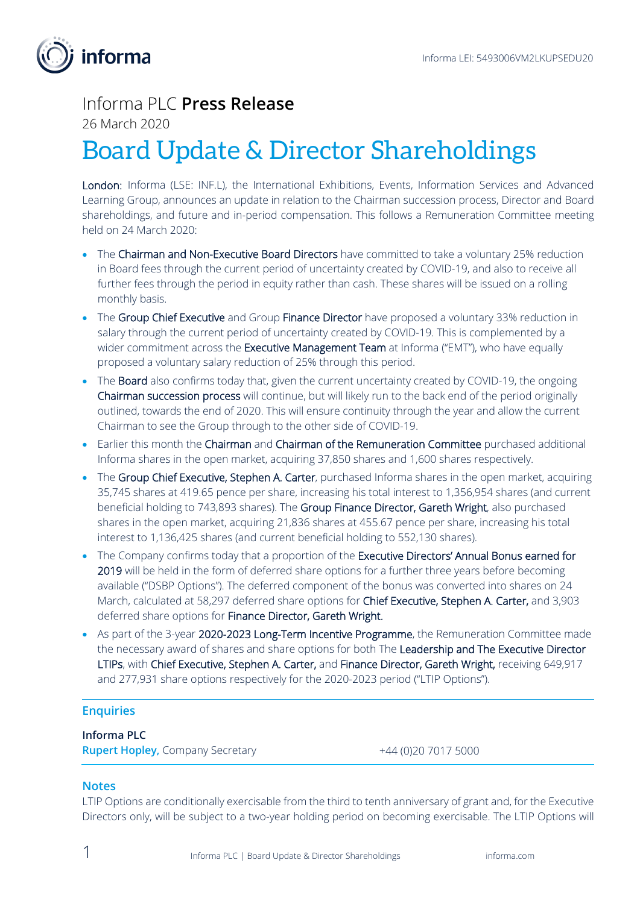

## Informa PLC **Press Release**

26 March 2020

# Board Update & Director Shareholdings

London: Informa (LSE: INF.L), the International Exhibitions, Events, Information Services and Advanced Learning Group, announces an update in relation to the Chairman succession process, Director and Board shareholdings, and future and in-period compensation. This follows a Remuneration Committee meeting held on 24 March 2020:

- The Chairman and Non-Executive Board Directors have committed to take a voluntary 25% reduction in Board fees through the current period of uncertainty created by COVID-19, and also to receive all further fees through the period in equity rather than cash. These shares will be issued on a rolling monthly basis.
- The Group Chief Executive and Group Finance Director have proposed a voluntary 33% reduction in salary through the current period of uncertainty created by COVID-19. This is complemented by a wider commitment across the Executive Management Team at Informa ("EMT"), who have equally proposed a voluntary salary reduction of 25% through this period.
- The Board also confirms today that, given the current uncertainty created by COVID-19, the ongoing Chairman succession process will continue, but will likely run to the back end of the period originally outlined, towards the end of 2020. This will ensure continuity through the year and allow the current Chairman to see the Group through to the other side of COVID-19.
- Earlier this month the Chairman and Chairman of the Remuneration Committee purchased additional Informa shares in the open market, acquiring 37,850 shares and 1,600 shares respectively.
- The Group Chief Executive, Stephen A. Carter, purchased Informa shares in the open market, acquiring 35,745 shares at 419.65 pence per share, increasing his total interest to 1,356,954 shares (and current beneficial holding to 743,893 shares). The Group Finance Director, Gareth Wright, also purchased shares in the open market, acquiring 21,836 shares at 455.67 pence per share, increasing his total interest to 1,136,425 shares (and current beneficial holding to 552,130 shares).
- The Company confirms today that a proportion of the Executive Directors' Annual Bonus earned for 2019 will be held in the form of deferred share options for a further three years before becoming available ("DSBP Options"). The deferred component of the bonus was converted into shares on 24 March, calculated at 58,297 deferred share options for Chief Executive, Stephen A. Carter, and 3,903 deferred share options for Finance Director, Gareth Wright.
- As part of the 3-year 2020-2023 Long-Term Incentive Programme, the Remuneration Committee made the necessary award of shares and share options for both The Leadership and The Executive Director LTIPs, with Chief Executive, Stephen A. Carter, and Finance Director, Gareth Wright, receiving 649,917 and 277,931 share options respectively for the 2020-2023 period ("LTIP Options").

#### **Enquiries**

#### **Informa PLC**

**Rupert Hopley, Company Secretary +44 (0)20 7017 5000** 

### **Notes**

LTIP Options are conditionally exercisable from the third to tenth anniversary of grant and, for the Executive Directors only, will be subject to a two-year holding period on becoming exercisable. The LTIP Options will